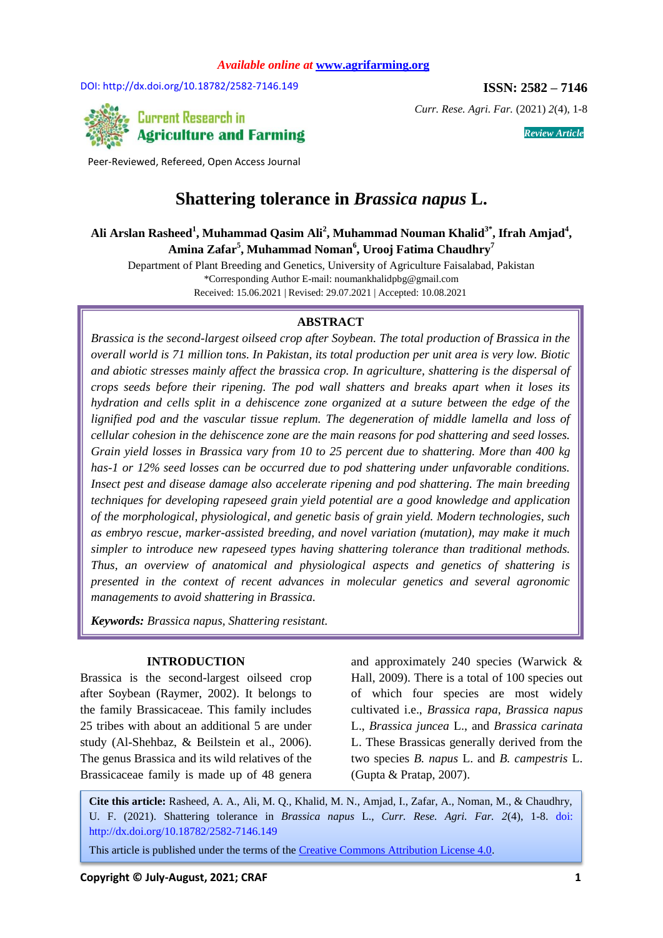DOI: http://dx.doi.org/10.18782/2582-7146.149 **ISSN: 2582 – 7146** 



*Curr. Rese. Agri. Far.* (2021) *2*(4), 1-8

**Current Research in Agriculture and Farming** 

Peer-Reviewed, Refereed, Open Access Journal

# **Shattering tolerance in** *Brassica napus* **L.**

Ali Arslan Rasheed<sup>1</sup>, Muhammad Qasim Ali<sup>2</sup>, Muhammad Nouman Khalid<sup>3\*</sup>, Ifrah Amjad<sup>4</sup>, **Amina Zafar<sup>5</sup> , Muhammad Noman<sup>6</sup> , Urooj Fatima Chaudhry<sup>7</sup>**

Department of Plant Breeding and Genetics, University of Agriculture Faisalabad, Pakistan \*Corresponding Author E-mail: [noumankhalidpbg@gmail.com](mailto:noumankhalidpbg@gmail.com) Received: 15.06.2021 | Revised: 29.07.2021 | Accepted: 10.08.2021

### **ABSTRACT**

*Brassica is the second-largest oilseed crop after Soybean. The total production of Brassica in the overall world is 71 million tons. In Pakistan, its total production per unit area is very low. Biotic and abiotic stresses mainly affect the brassica crop. In agriculture, shattering is the dispersal of crops seeds before their ripening. The pod wall shatters and breaks apart when it loses its hydration and cells split in a dehiscence zone organized at a suture between the edge of the lignified pod and the vascular tissue replum. The degeneration of middle lamella and loss of cellular cohesion in the dehiscence zone are the main reasons for pod shattering and seed losses. Grain yield losses in Brassica vary from 10 to 25 percent due to shattering. More than 400 kg has-1 or 12% seed losses can be occurred due to pod shattering under unfavorable conditions. Insect pest and disease damage also accelerate ripening and pod shattering. The main breeding techniques for developing rapeseed grain yield potential are a good knowledge and application of the morphological, physiological, and genetic basis of grain yield. Modern technologies, such as embryo rescue, marker-assisted breeding, and novel variation (mutation), may make it much simpler to introduce new rapeseed types having shattering tolerance than traditional methods. Thus, an overview of anatomical and physiological aspects and genetics of shattering is presented in the context of recent advances in molecular genetics and several agronomic managements to avoid shattering in Brassica.*

*Keywords: Brassica napus, Shattering resistant.*

#### **INTRODUCTION**

Brassica is the second-largest oilseed crop after Soybean (Raymer, 2002). It belongs to the family Brassicaceae. This family includes 25 tribes with about an additional 5 are under study (Al-Shehbaz, & Beilstein et al., 2006). The genus Brassica and its wild relatives of the Brassicaceae family is made up of 48 genera

and approximately 240 species (Warwick & Hall, 2009). There is a total of 100 species out of which four species are most widely cultivated i.e., *Brassica rapa*, *Brassica napus* L., *Brassica juncea* L., and *Brassica carinata* L. These Brassicas generally derived from the two species *B. napus* L. and *B. campestris* L. (Gupta & Pratap, 2007).

**Cite this article:** Rasheed, A. A., Ali, M. Q., Khalid, M. N., Amjad, I., Zafar, A., Noman, M., & Chaudhry, U. F. (2021). Shattering tolerance in *Brassica napus* L., *Curr. Rese. Agri. Far. 2*(4), 1-8. doi: http://dx.doi.org/10.18782/2582-7146.149

This article is published under the terms of the Creative Commons Attribution License 4.0.

*Review Article*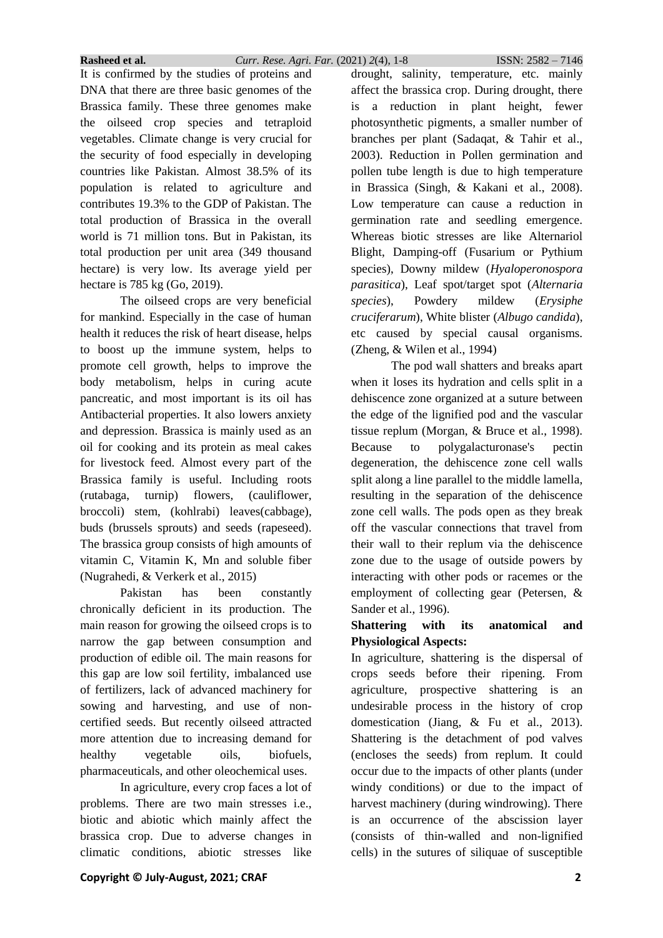It is confirmed by the studies of proteins and DNA that there are three basic genomes of the Brassica family. These three genomes make the oilseed crop species and tetraploid vegetables. Climate change is very crucial for the security of food especially in developing countries like Pakistan. Almost 38.5% of its population is related to agriculture and contributes 19.3% to the GDP of Pakistan. The total production of Brassica in the overall world is 71 million tons. But in Pakistan, its total production per unit area (349 thousand hectare) is very low. Its average yield per hectare is 785 kg (Go, 2019).

The oilseed crops are very beneficial for mankind. Especially in the case of human health it reduces the risk of heart disease, helps to boost up the immune system, helps to promote cell growth, helps to improve the body metabolism, helps in curing acute pancreatic, and most important is its oil has Antibacterial properties. It also lowers anxiety and depression. Brassica is mainly used as an oil for cooking and its protein as meal cakes for livestock feed. Almost every part of the Brassica family is useful. Including roots (rutabaga, turnip) flowers, (cauliflower, broccoli) stem, (kohlrabi) leaves(cabbage), buds (brussels sprouts) and seeds (rapeseed). The brassica group consists of high amounts of vitamin C, Vitamin K, Mn and soluble fiber (Nugrahedi, & Verkerk et al., 2015)

Pakistan has been constantly chronically deficient in its production. The main reason for growing the oilseed crops is to narrow the gap between consumption and production of edible oil. The main reasons for this gap are low soil fertility, imbalanced use of fertilizers, lack of advanced machinery for sowing and harvesting, and use of noncertified seeds. But recently oilseed attracted more attention due to increasing demand for healthy vegetable oils, biofuels, pharmaceuticals, and other oleochemical uses.

In agriculture, every crop faces a lot of problems. There are two main stresses i.e., biotic and abiotic which mainly affect the brassica crop. Due to adverse changes in climatic conditions, abiotic stresses like

drought, salinity, temperature, etc. mainly affect the brassica crop. During drought, there is a reduction in plant height, fewer photosynthetic pigments, a smaller number of branches per plant (Sadaqat, & Tahir et al., 2003). Reduction in Pollen germination and pollen tube length is due to high temperature in Brassica (Singh, & Kakani et al., 2008). Low temperature can cause a reduction in germination rate and seedling emergence. Whereas biotic stresses are like Alternariol Blight, Damping-off (Fusarium or Pythium species), Downy mildew (*Hyaloperonospora parasitica*), Leaf spot/target spot (*Alternaria species*), Powdery mildew (*Erysiphe cruciferarum*), White blister (*Albugo candida*), etc caused by special causal organisms. (Zheng, & Wilen et al., 1994) The pod wall shatters and breaks apart

when it loses its hydration and cells split in a dehiscence zone organized at a suture between the edge of the lignified pod and the vascular tissue replum (Morgan, & Bruce et al., 1998). Because to polygalacturonase's pectin degeneration, the dehiscence zone cell walls split along a line parallel to the middle lamella, resulting in the separation of the dehiscence zone cell walls. The pods open as they break off the vascular connections that travel from their wall to their replum via the dehiscence zone due to the usage of outside powers by interacting with other pods or racemes or the employment of collecting gear (Petersen, & Sander et al., 1996).

## **Shattering with its anatomical and Physiological Aspects:**

In agriculture, shattering is the dispersal of crops seeds before their ripening. From agriculture, prospective shattering is an undesirable process in the history of crop domestication (Jiang, & Fu et al., 2013). Shattering is the detachment of pod valves (encloses the seeds) from replum. It could occur due to the impacts of other plants (under windy conditions) or due to the impact of harvest machinery (during windrowing). There is an occurrence of the abscission layer (consists of thin-walled and non-lignified cells) in the sutures of siliquae of susceptible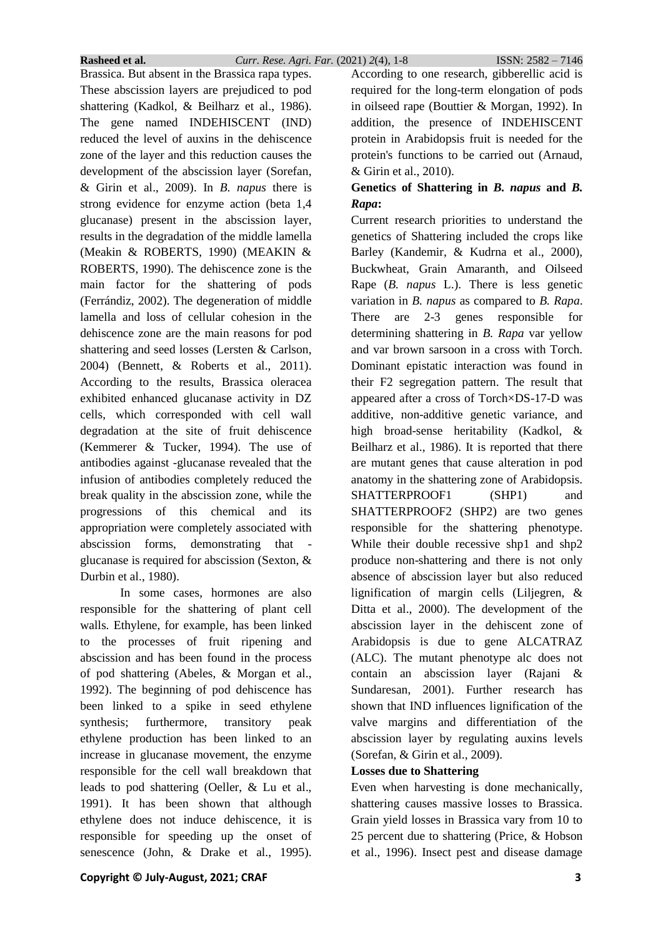Brassica. But absent in the Brassica rapa types. These abscission layers are prejudiced to pod shattering (Kadkol, & Beilharz et al., 1986). The gene named INDEHISCENT (IND) reduced the level of auxins in the dehiscence zone of the layer and this reduction causes the development of the abscission layer (Sorefan, & Girin et al., 2009). In *B. napus* there is strong evidence for enzyme action (beta 1,4 glucanase) present in the abscission layer, results in the degradation of the middle lamella (Meakin & ROBERTS, 1990) (MEAKIN & ROBERTS, 1990). The dehiscence zone is the main factor for the shattering of pods (Ferrándiz, 2002). The degeneration of middle lamella and loss of cellular cohesion in the dehiscence zone are the main reasons for pod shattering and seed losses (Lersten & Carlson, 2004) (Bennett, & Roberts et al., 2011). According to the results, Brassica oleracea exhibited enhanced glucanase activity in DZ cells, which corresponded with cell wall degradation at the site of fruit dehiscence (Kemmerer & Tucker, 1994). The use of antibodies against -glucanase revealed that the infusion of antibodies completely reduced the break quality in the abscission zone, while the progressions of this chemical and its appropriation were completely associated with abscission forms, demonstrating that glucanase is required for abscission (Sexton, & Durbin et al., 1980).

In some cases, hormones are also responsible for the shattering of plant cell walls. Ethylene, for example, has been linked to the processes of fruit ripening and abscission and has been found in the process of pod shattering (Abeles, & Morgan et al., 1992). The beginning of pod dehiscence has been linked to a spike in seed ethylene synthesis; furthermore, transitory peak ethylene production has been linked to an increase in glucanase movement, the enzyme responsible for the cell wall breakdown that leads to pod shattering (Oeller, & Lu et al., 1991). It has been shown that although ethylene does not induce dehiscence, it is responsible for speeding up the onset of senescence (John, & Drake et al., 1995).

According to one research, gibberellic acid is required for the long-term elongation of pods in oilseed rape (Bouttier & Morgan, 1992). In addition, the presence of INDEHISCENT protein in Arabidopsis fruit is needed for the protein's functions to be carried out (Arnaud, & Girin et al., 2010).

# **Genetics of Shattering in** *B. napus* **and** *B. Rapa***:**

Current research priorities to understand the genetics of Shattering included the crops like Barley (Kandemir, & Kudrna et al., 2000), Buckwheat, Grain Amaranth, and Oilseed Rape (*B. napus* L.). There is less genetic variation in *B. napus* as compared to *B. Rapa*. There are 2-3 genes responsible for determining shattering in *B. Rapa* var yellow and var brown sarsoon in a cross with Torch. Dominant epistatic interaction was found in their F2 segregation pattern. The result that appeared after a cross of Torch×DS-17-D was additive, non-additive genetic variance, and high broad-sense heritability (Kadkol, & Beilharz et al., 1986). It is reported that there are mutant genes that cause alteration in pod anatomy in the shattering zone of Arabidopsis. SHATTERPROOF1 (SHP1) and SHATTERPROOF2 (SHP2) are two genes responsible for the shattering phenotype. While their double recessive shp1 and shp2 produce non-shattering and there is not only absence of abscission layer but also reduced lignification of margin cells (Liljegren, & Ditta et al., 2000). The development of the abscission layer in the dehiscent zone of Arabidopsis is due to gene ALCATRAZ (ALC). The mutant phenotype alc does not contain an abscission layer (Rajani & Sundaresan, 2001). Further research has shown that IND influences lignification of the valve margins and differentiation of the abscission layer by regulating auxins levels (Sorefan, & Girin et al., 2009).

# **Losses due to Shattering**

Even when harvesting is done mechanically, shattering causes massive losses to Brassica. Grain yield losses in Brassica vary from 10 to 25 percent due to shattering (Price, & Hobson et al., 1996). Insect pest and disease damage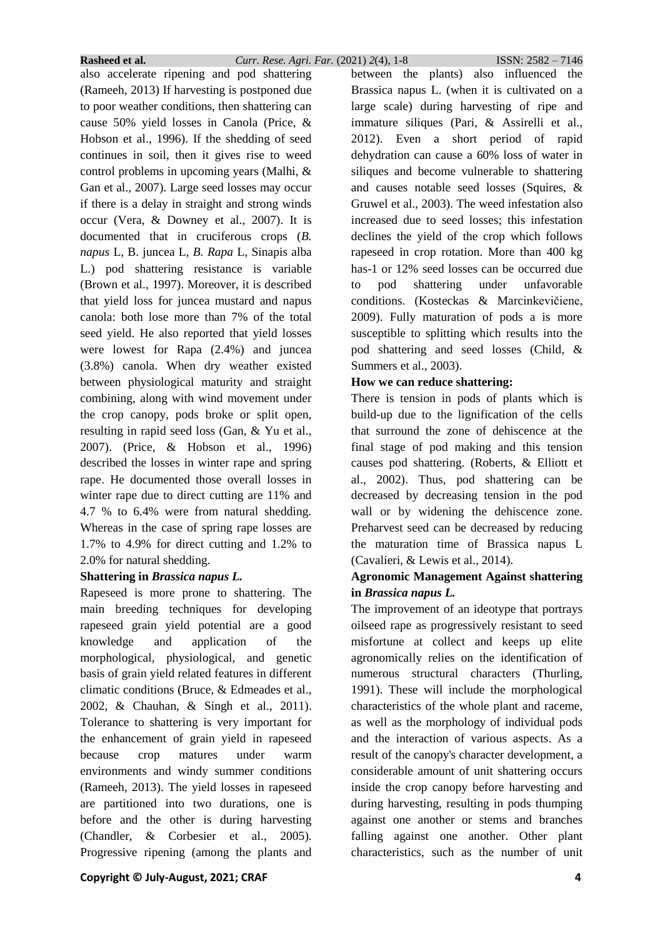also accelerate ripening and pod shattering (Rameeh, 2013) If harvesting is postponed due to poor weather conditions, then shattering can cause 50% yield losses in Canola (Price, & Hobson et al., 1996). If the shedding of seed continues in soil, then it gives rise to weed control problems in upcoming years (Malhi, & Gan et al., 2007). Large seed losses may occur if there is a delay in straight and strong winds occur (Vera, & Downey et al., 2007). It is documented that in cruciferous crops (*B. napus* L, B. juncea L, *B. Rapa* L, Sinapis alba L.) pod shattering resistance is variable (Brown et al., 1997). Moreover, it is described that yield loss for juncea mustard and napus canola: both lose more than 7% of the total seed yield. He also reported that yield losses were lowest for Rapa (2.4%) and juncea (3.8%) canola. When dry weather existed between physiological maturity and straight combining, along with wind movement under the crop canopy, pods broke or split open, resulting in rapid seed loss (Gan, & Yu et al., 2007). (Price, & Hobson et al., 1996) described the losses in winter rape and spring rape. He documented those overall losses in winter rape due to direct cutting are 11% and 4.7 % to 6.4% were from natural shedding. Whereas in the case of spring rape losses are 1.7% to 4.9% for direct cutting and 1.2% to 2.0% for natural shedding.

### **Shattering in** *Brassica napus L.*

Rapeseed is more prone to shattering. The main breeding techniques for developing rapeseed grain yield potential are a good knowledge and application of the morphological, physiological, and genetic basis of grain yield related features in different climatic conditions (Bruce, & Edmeades et al., 2002, & Chauhan, & Singh et al., 2011). Tolerance to shattering is very important for the enhancement of grain yield in rapeseed because crop matures under warm environments and windy summer conditions (Rameeh, 2013). The yield losses in rapeseed are partitioned into two durations, one is before and the other is during harvesting (Chandler, & Corbesier et al., 2005). Progressive ripening (among the plants and

between the plants) also influenced the Brassica napus L. (when it is cultivated on a large scale) during harvesting of ripe and immature siliques (Pari, & Assirelli et al., 2012). Even a short period of rapid dehydration can cause a 60% loss of water in siliques and become vulnerable to shattering and causes notable seed losses (Squires, & Gruwel et al., 2003). The weed infestation also increased due to seed losses; this infestation declines the yield of the crop which follows rapeseed in crop rotation. More than 400 kg has-1 or 12% seed losses can be occurred due to pod shattering under unfavorable conditions. (Kosteckas & Marcinkevičiene, 2009). Fully maturation of pods a is more susceptible to splitting which results into the pod shattering and seed losses (Child, & Summers et al., 2003).

## **How we can reduce shattering:**

There is tension in pods of plants which is build-up due to the lignification of the cells that surround the zone of dehiscence at the final stage of pod making and this tension causes pod shattering. (Roberts, & Elliott et al., 2002). Thus, pod shattering can be decreased by decreasing tension in the pod wall or by widening the dehiscence zone. Preharvest seed can be decreased by reducing the maturation time of Brassica napus L (Cavalieri, & Lewis et al., 2014).

# **Agronomic Management Against shattering in** *Brassica napus L.*

The improvement of an ideotype that portrays oilseed rape as progressively resistant to seed misfortune at collect and keeps up elite agronomically relies on the identification of numerous structural characters (Thurling, 1991). These will include the morphological characteristics of the whole plant and raceme, as well as the morphology of individual pods and the interaction of various aspects. As a result of the canopy's character development, a considerable amount of unit shattering occurs inside the crop canopy before harvesting and during harvesting, resulting in pods thumping against one another or stems and branches falling against one another. Other plant characteristics, such as the number of unit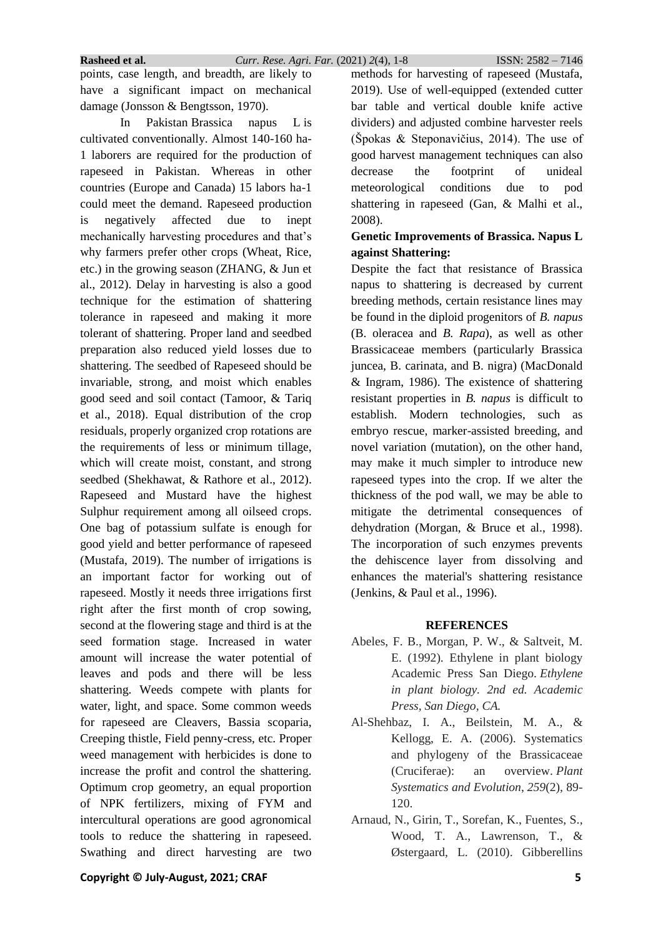points, case length, and breadth, are likely to have a significant impact on mechanical damage (Jonsson & Bengtsson, 1970).

In Pakistan Brassica napus L is cultivated conventionally. Almost 140-160 ha-1 laborers are required for the production of rapeseed in Pakistan. Whereas in other countries (Europe and Canada) 15 labors ha-1 could meet the demand. Rapeseed production is negatively affected due to inept mechanically harvesting procedures and that's why farmers prefer other crops (Wheat, Rice, etc.) in the growing season (ZHANG, & Jun et al., 2012). Delay in harvesting is also a good technique for the estimation of shattering tolerance in rapeseed and making it more tolerant of shattering. Proper land and seedbed preparation also reduced yield losses due to shattering. The seedbed of Rapeseed should be invariable, strong, and moist which enables good seed and soil contact (Tamoor, & Tariq et al., 2018). Equal distribution of the crop residuals, properly organized crop rotations are the requirements of less or minimum tillage, which will create moist, constant, and strong seedbed (Shekhawat, & Rathore et al., 2012). Rapeseed and Mustard have the highest Sulphur requirement among all oilseed crops. One bag of potassium sulfate is enough for good yield and better performance of rapeseed (Mustafa, 2019). The number of irrigations is an important factor for working out of rapeseed. Mostly it needs three irrigations first right after the first month of crop sowing, second at the flowering stage and third is at the seed formation stage. Increased in water amount will increase the water potential of leaves and pods and there will be less shattering. Weeds compete with plants for water, light, and space. Some common weeds for rapeseed are Cleavers, Bassia scoparia, Creeping thistle, Field penny-cress, etc. Proper weed management with herbicides is done to increase the profit and control the shattering. Optimum crop geometry, an equal proportion of NPK fertilizers, mixing of FYM and intercultural operations are good agronomical tools to reduce the shattering in rapeseed. Swathing and direct harvesting are two methods for harvesting of rapeseed (Mustafa, 2019). Use of well-equipped (extended cutter bar table and vertical double knife active dividers) and adjusted combine harvester reels (Špokas & Steponavičius, 2014). The use of good harvest management techniques can also decrease the footprint of unideal meteorological conditions due to pod shattering in rapeseed (Gan, & Malhi et al., 2008).

### **Genetic Improvements of Brassica. Napus L against Shattering:**

Despite the fact that resistance of Brassica napus to shattering is decreased by current breeding methods, certain resistance lines may be found in the diploid progenitors of *B. napus* (B. oleracea and *B. Rapa*), as well as other Brassicaceae members (particularly Brassica juncea, B. carinata, and B. nigra) (MacDonald & Ingram, 1986). The existence of shattering resistant properties in *B. napus* is difficult to establish. Modern technologies, such as embryo rescue, marker-assisted breeding, and novel variation (mutation), on the other hand, may make it much simpler to introduce new rapeseed types into the crop. If we alter the thickness of the pod wall, we may be able to mitigate the detrimental consequences of dehydration (Morgan, & Bruce et al., 1998). The incorporation of such enzymes prevents the dehiscence layer from dissolving and enhances the material's shattering resistance (Jenkins, & Paul et al., 1996).

#### **REFERENCES**

- Abeles, F. B., Morgan, P. W., & Saltveit, M. E. (1992). Ethylene in plant biology Academic Press San Diego. *Ethylene in plant biology. 2nd ed. Academic Press, San Diego, CA.*
- Al-Shehbaz, I. A., Beilstein, M. A., & Kellogg, E. A. (2006). Systematics and phylogeny of the Brassicaceae (Cruciferae): an overview. *Plant Systematics and Evolution*, *259*(2), 89- 120.
- Arnaud, N., Girin, T., Sorefan, K., Fuentes, S., Wood, T. A., Lawrenson, T., & Østergaard, L. (2010). Gibberellins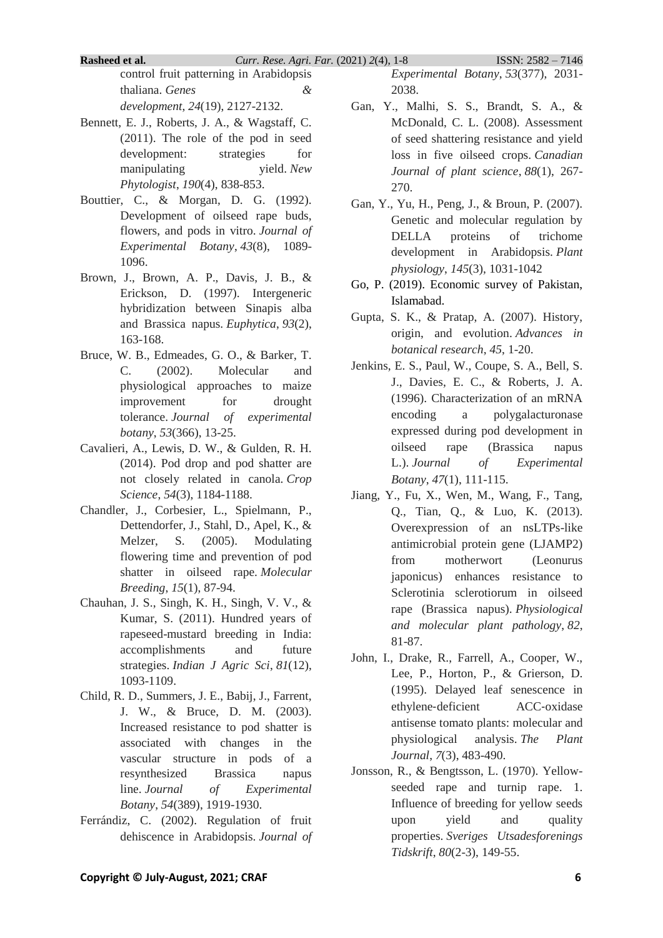**Rasheed et al.** *Curr. Rese. Agri. Far.* (2021) *2*(4), 1-8 ISSN: 2582 – 7146

control fruit patterning in Arabidopsis thaliana. *Genes & development*, *24*(19), 2127-2132.

- Bennett, E. J., Roberts, J. A., & Wagstaff, C. (2011). The role of the pod in seed development: strategies for manipulating yield. *New Phytologist*, *190*(4), 838-853.
- Bouttier, C., & Morgan, D. G. (1992). Development of oilseed rape buds, flowers, and pods in vitro. *Journal of Experimental Botany*, *43*(8), 1089- 1096.
- Brown, J., Brown, A. P., Davis, J. B., & Erickson, D. (1997). Intergeneric hybridization between Sinapis alba and Brassica napus. *Euphytica*, *93*(2), 163-168.
- Bruce, W. B., Edmeades, G. O., & Barker, T. C. (2002). Molecular and physiological approaches to maize improvement for drought tolerance. *Journal of experimental botany*, *53*(366), 13-25.
- Cavalieri, A., Lewis, D. W., & Gulden, R. H. (2014). Pod drop and pod shatter are not closely related in canola. *Crop Science*, *54*(3), 1184-1188.
- Chandler, J., Corbesier, L., Spielmann, P., Dettendorfer, J., Stahl, D., Apel, K., & Melzer, S. (2005). Modulating flowering time and prevention of pod shatter in oilseed rape. *Molecular Breeding*, *15*(1), 87-94.
- Chauhan, J. S., Singh, K. H., Singh, V. V., & Kumar, S. (2011). Hundred years of rapeseed-mustard breeding in India: accomplishments and future strategies. *Indian J Agric Sci*, *81*(12), 1093-1109.
- Child, R. D., Summers, J. E., Babij, J., Farrent, J. W., & Bruce, D. M. (2003). Increased resistance to pod shatter is associated with changes in the vascular structure in pods of a resynthesized Brassica napus line. *Journal of Experimental Botany*, *54*(389), 1919-1930.
- Ferrándiz, C. (2002). Regulation of fruit dehiscence in Arabidopsis. *Journal of*

*Experimental Botany*, *53*(377), 2031- 2038.

- Gan, Y., Malhi, S. S., Brandt, S. A., & McDonald, C. L. (2008). Assessment of seed shattering resistance and yield loss in five oilseed crops. *Canadian Journal of plant science*, *88*(1), 267- 270.
- Gan, Y., Yu, H., Peng, J., & Broun, P. (2007). Genetic and molecular regulation by DELLA proteins of trichome development in Arabidopsis. *Plant physiology*, *145*(3), 1031-1042
- Go, P. (2019). Economic survey of Pakistan, Islamabad.
- Gupta, S. K., & Pratap, A. (2007). History, origin, and evolution. *Advances in botanical research*, *45*, 1-20.
- Jenkins, E. S., Paul, W., Coupe, S. A., Bell, S. J., Davies, E. C., & Roberts, J. A. (1996). Characterization of an mRNA encoding a polygalacturonase expressed during pod development in oilseed rape (Brassica napus L.). *Journal of Experimental Botany*, *47*(1), 111-115.
- Jiang, Y., Fu, X., Wen, M., Wang, F., Tang, Q., Tian, Q., & Luo, K. (2013). Overexpression of an nsLTPs-like antimicrobial protein gene (LJAMP2) from motherwort (Leonurus japonicus) enhances resistance to Sclerotinia sclerotiorum in oilseed rape (Brassica napus). *Physiological and molecular plant pathology*, *82*, 81-87.
- John, I., Drake, R., Farrell, A., Cooper, W., Lee, P., Horton, P., & Grierson, D. (1995). Delayed leaf senescence in ethylene‐deficient ACC‐oxidase antisense tomato plants: molecular and physiological analysis. *The Plant Journal*, *7*(3), 483-490.
- Jonsson, R., & Bengtsson, L. (1970). Yellowseeded rape and turnip rape. 1. Influence of breeding for yellow seeds upon yield and quality properties. *Sveriges Utsadesforenings Tidskrift*, *80*(2-3), 149-55.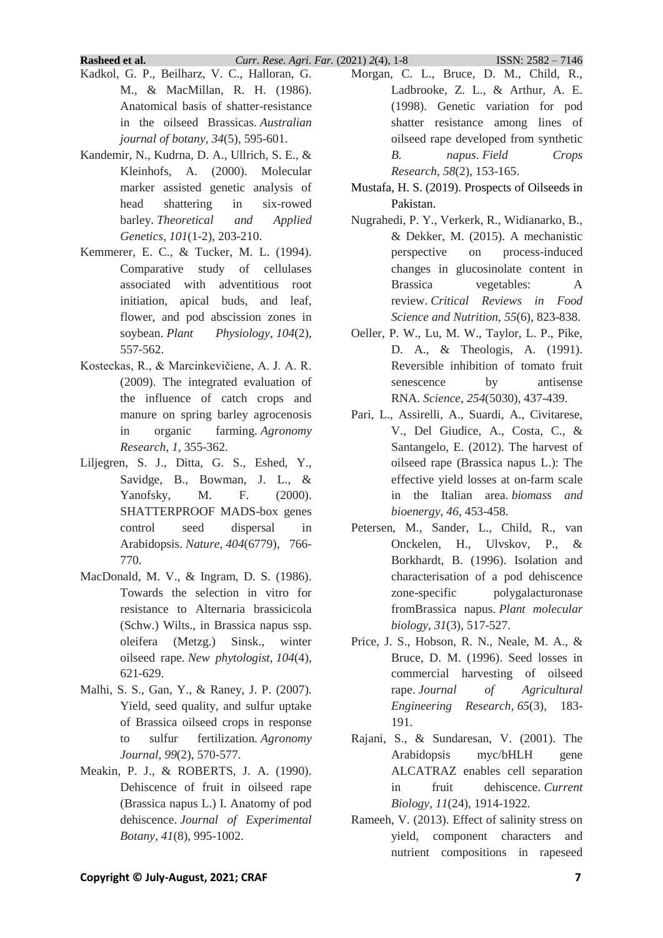**Rasheed et al.** *Curr. Rese. Agri. Far.* (2021) *2*(4), 1-8 ISSN: 2582 – 7146

- Kadkol, G. P., Beilharz, V. C., Halloran, G. M., & MacMillan, R. H. (1986). Anatomical basis of shatter-resistance in the oilseed Brassicas. *Australian journal of botany*, *34*(5), 595-601.
- Kandemir, N., Kudrna, D. A., Ullrich, S. E., & Kleinhofs, A. (2000). Molecular marker assisted genetic analysis of head shattering in six-rowed barley. *Theoretical and Applied Genetics*, *101*(1-2), 203-210.
- Kemmerer, E. C., & Tucker, M. L. (1994). Comparative study of cellulases associated with adventitious root initiation, apical buds, and leaf, flower, and pod abscission zones in soybean. *Plant Physiology*, *104*(2), 557-562.
- Kosteckas, R., & Marcinkevičiene, A. J. A. R. (2009). The integrated evaluation of the influence of catch crops and manure on spring barley agrocenosis in organic farming. *Agronomy Research*, *1*, 355-362.
- Liljegren, S. J., Ditta, G. S., Eshed, Y., Savidge, B., Bowman, J. L., & Yanofsky, M. F. (2000). SHATTERPROOF MADS-box genes control seed dispersal in Arabidopsis. *Nature*, *404*(6779), 766- 770.
- MacDonald, M. V., & Ingram, D. S. (1986). Towards the selection in vitro for resistance to Alternaria brassicicola (Schw.) Wilts., in Brassica napus ssp. oleifera (Metzg.) Sinsk., winter oilseed rape. *New phytologist*, *104*(4), 621-629.
- Malhi, S. S., Gan, Y., & Raney, J. P. (2007). Yield, seed quality, and sulfur uptake of Brassica oilseed crops in response to sulfur fertilization. *Agronomy Journal*, *99*(2), 570-577.
- Meakin, P. J., & ROBERTS, J. A. (1990). Dehiscence of fruit in oilseed rape (Brassica napus L.) I. Anatomy of pod dehiscence. *Journal of Experimental Botany*, *41*(8), 995-1002.
- Morgan, C. L., Bruce, D. M., Child, R., Ladbrooke, Z. L., & Arthur, A. E. (1998). Genetic variation for pod shatter resistance among lines of oilseed rape developed from synthetic *B. napus*. *Field Crops Research*, *58*(2), 153-165.
- Mustafa, H. S. (2019). Prospects of Oilseeds in Pakistan.
- Nugrahedi, P. Y., Verkerk, R., Widianarko, B., & Dekker, M. (2015). A mechanistic perspective on process-induced changes in glucosinolate content in Brassica vegetables: A review. *Critical Reviews in Food Science and Nutrition*, *55*(6), 823-838.
- Oeller, P. W., Lu, M. W., Taylor, L. P., Pike, D. A., & Theologis, A. (1991). Reversible inhibition of tomato fruit senescence by antisense RNA. *Science*, *254*(5030), 437-439.
- Pari, L., Assirelli, A., Suardi, A., Civitarese, V., Del Giudice, A., Costa, C., & Santangelo, E. (2012). The harvest of oilseed rape (Brassica napus L.): The effective yield losses at on-farm scale in the Italian area. *biomass and bioenergy*, *46*, 453-458.
- Petersen, M., Sander, L., Child, R., van Onckelen, H., Ulvskov, P., & Borkhardt, B. (1996). Isolation and characterisation of a pod dehiscence zone-specific polygalacturonase fromBrassica napus. *Plant molecular biology*, *31*(3), 517-527.
- Price, J. S., Hobson, R. N., Neale, M. A., & Bruce, D. M. (1996). Seed losses in commercial harvesting of oilseed rape. *Journal of Agricultural Engineering Research*, *65*(3), 183- 191.
- Rajani, S., & Sundaresan, V. (2001). The Arabidopsis myc/bHLH gene ALCATRAZ enables cell separation in fruit dehiscence. *Current Biology*, *11*(24), 1914-1922.
- Rameeh, V. (2013). Effect of salinity stress on yield, component characters and nutrient compositions in rapeseed